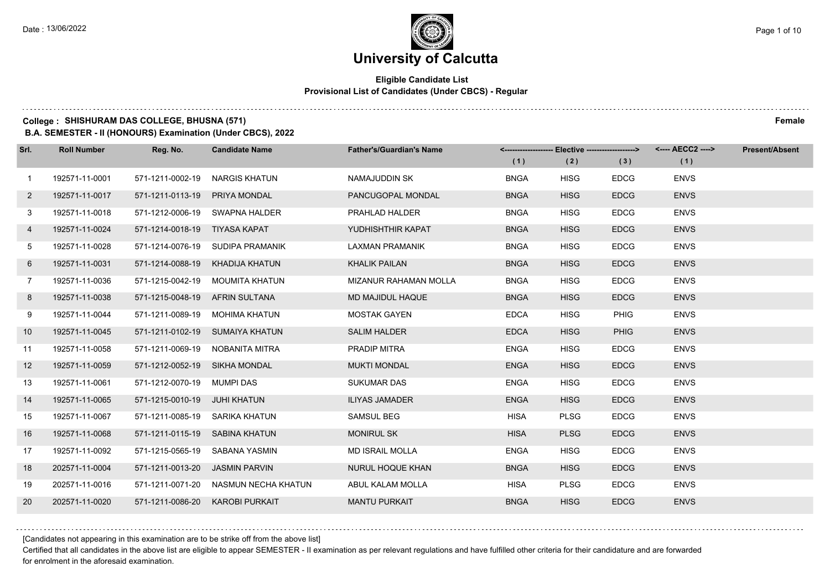## **Eligible Candidate List Provisional List of Candidates (Under CBCS) - Regular**

#### **College : SHISHURAM DAS COLLEGE, BHUSNA (571) Female**

**B.A. SEMESTER - II (HONOURS) Examination (Under CBCS), 2022**

| Srl.           | <b>Roll Number</b> | Reg. No.                       | <b>Candidate Name</b>                | <b>Father's/Guardian's Name</b> | <-------------------- Elective ------------------> |             |             | <---- AECC2 ----> | <b>Present/Absent</b> |
|----------------|--------------------|--------------------------------|--------------------------------------|---------------------------------|----------------------------------------------------|-------------|-------------|-------------------|-----------------------|
|                |                    |                                |                                      |                                 | (1)                                                | (2)         | (3)         | (1)               |                       |
| $\mathbf{1}$   | 192571-11-0001     | 571-1211-0002-19               | NARGIS KHATUN                        | NAMAJUDDIN SK                   | <b>BNGA</b>                                        | <b>HISG</b> | <b>EDCG</b> | <b>ENVS</b>       |                       |
| $2^{\circ}$    | 192571-11-0017     | 571-1211-0113-19               | <b>PRIYA MONDAL</b>                  | PANCUGOPAL MONDAL               | <b>BNGA</b>                                        | <b>HISG</b> | <b>EDCG</b> | <b>ENVS</b>       |                       |
| 3              | 192571-11-0018     |                                | 571-1212-0006-19 SWAPNA HALDER       | PRAHLAD HALDER                  | <b>BNGA</b>                                        | <b>HISG</b> | <b>EDCG</b> | <b>ENVS</b>       |                       |
| 4              | 192571-11-0024     | 571-1214-0018-19 TIYASA KAPAT  |                                      | YUDHISHTHIR KAPAT               | <b>BNGA</b>                                        | <b>HISG</b> | <b>EDCG</b> | <b>ENVS</b>       |                       |
| 5              | 192571-11-0028     |                                | 571-1214-0076-19 SUDIPA PRAMANIK     | LAXMAN PRAMANIK                 | <b>BNGA</b>                                        | <b>HISG</b> | <b>EDCG</b> | <b>ENVS</b>       |                       |
| 6              | 192571-11-0031     | 571-1214-0088-19               | KHADIJA KHATUN                       | <b>KHALIK PAILAN</b>            | <b>BNGA</b>                                        | <b>HISG</b> | <b>EDCG</b> | <b>ENVS</b>       |                       |
| $\overline{7}$ | 192571-11-0036     |                                | 571-1215-0042-19 MOUMITA KHATUN      | <b>MIZANUR RAHAMAN MOLLA</b>    | <b>BNGA</b>                                        | <b>HISG</b> | <b>EDCG</b> | <b>ENVS</b>       |                       |
| 8              | 192571-11-0038     | 571-1215-0048-19 AFRIN SULTANA |                                      | MD MAJIDUL HAQUE                | <b>BNGA</b>                                        | <b>HISG</b> | <b>EDCG</b> | <b>ENVS</b>       |                       |
| 9              | 192571-11-0044     |                                | 571-1211-0089-19 MOHIMA KHATUN       | <b>MOSTAK GAYEN</b>             | <b>EDCA</b>                                        | <b>HISG</b> | <b>PHIG</b> | <b>ENVS</b>       |                       |
| 10             | 192571-11-0045     |                                | 571-1211-0102-19 SUMAIYA KHATUN      | <b>SALIM HALDER</b>             | <b>EDCA</b>                                        | <b>HISG</b> | <b>PHIG</b> | <b>ENVS</b>       |                       |
| 11             | 192571-11-0058     |                                | 571-1211-0069-19 NOBANITA MITRA      | PRADIP MITRA                    | <b>ENGA</b>                                        | <b>HISG</b> | <b>EDCG</b> | <b>ENVS</b>       |                       |
| 12             | 192571-11-0059     | 571-1212-0052-19 SIKHA MONDAL  |                                      | <b>MUKTI MONDAL</b>             | <b>ENGA</b>                                        | <b>HISG</b> | <b>EDCG</b> | <b>ENVS</b>       |                       |
| 13             | 192571-11-0061     | 571-1212-0070-19 MUMPI DAS     |                                      | <b>SUKUMAR DAS</b>              | <b>ENGA</b>                                        | <b>HISG</b> | <b>EDCG</b> | <b>ENVS</b>       |                       |
| 14             | 192571-11-0065     | 571-1215-0010-19 JUHI KHATUN   |                                      | <b>ILIYAS JAMADER</b>           | <b>ENGA</b>                                        | <b>HISG</b> | <b>EDCG</b> | <b>ENVS</b>       |                       |
| 15             | 192571-11-0067     | 571-1211-0085-19 SARIKA KHATUN |                                      | <b>SAMSUL BEG</b>               | HISA                                               | <b>PLSG</b> | <b>EDCG</b> | <b>ENVS</b>       |                       |
| 16             | 192571-11-0068     | 571-1211-0115-19 SABINA KHATUN |                                      | <b>MONIRUL SK</b>               | <b>HISA</b>                                        | <b>PLSG</b> | <b>EDCG</b> | <b>ENVS</b>       |                       |
| 17             | 192571-11-0092     | 571-1215-0565-19               | SABANA YASMIN                        | <b>MD ISRAIL MOLLA</b>          | <b>ENGA</b>                                        | <b>HISG</b> | <b>EDCG</b> | <b>ENVS</b>       |                       |
| 18             | 202571-11-0004     | 571-1211-0013-20 JASMIN PARVIN |                                      | NURUL HOQUE KHAN                | <b>BNGA</b>                                        | <b>HISG</b> | <b>EDCG</b> | <b>ENVS</b>       |                       |
| 19             | 202571-11-0016     |                                | 571-1211-0071-20 NASMUN NECHA KHATUN | ABUL KALAM MOLLA                | <b>HISA</b>                                        | <b>PLSG</b> | <b>EDCG</b> | <b>ENVS</b>       |                       |
| 20             | 202571-11-0020     | 571-1211-0086-20               | <b>KAROBI PURKAIT</b>                | <b>MANTU PURKAIT</b>            | <b>BNGA</b>                                        | <b>HISG</b> | <b>EDCG</b> | <b>ENVS</b>       |                       |

[Candidates not appearing in this examination are to be strike off from the above list]

Certified that all candidates in the above list are eligible to appear SEMESTER - II examination as per relevant regulations and have fulfilled other criteria for their candidature and are forwarded for enrolment in the aforesaid examination.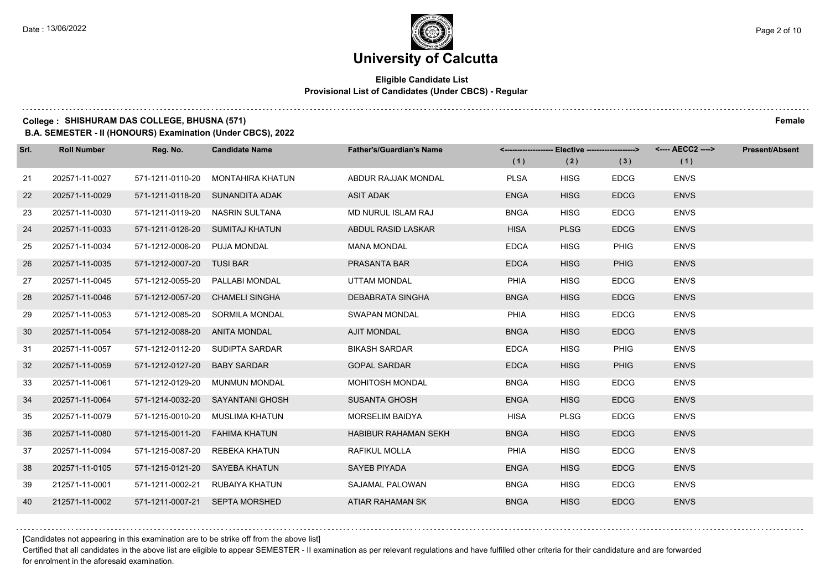## **Eligible Candidate List Provisional List of Candidates (Under CBCS) - Regular**

## **College : SHISHURAM DAS COLLEGE, BHUSNA (571) Female**

**B.A. SEMESTER - II (HONOURS) Examination (Under CBCS), 2022**

| Srl. | <b>Roll Number</b> | Reg. No.                       | <b>Candidate Name</b>            | <b>Father's/Guardian's Name</b> | <-------------------- Elective -------------------> |             |             |             | <b>Present/Absent</b> |
|------|--------------------|--------------------------------|----------------------------------|---------------------------------|-----------------------------------------------------|-------------|-------------|-------------|-----------------------|
|      |                    |                                |                                  |                                 | (1)                                                 | (2)         | (3)         | (1)         |                       |
| 21   | 202571-11-0027     | 571-1211-0110-20               | MONTAHIRA KHATUN                 | ABDUR RAJJAK MONDAL             | <b>PLSA</b>                                         | <b>HISG</b> | <b>EDCG</b> | <b>ENVS</b> |                       |
| 22   | 202571-11-0029     |                                | 571-1211-0118-20 SUNANDITA ADAK  | <b>ASIT ADAK</b>                | <b>ENGA</b>                                         | <b>HISG</b> | <b>EDCG</b> | <b>ENVS</b> |                       |
| 23   | 202571-11-0030     |                                | 571-1211-0119-20 NASRIN SULTANA  | MD NURUL ISLAM RAJ              | <b>BNGA</b>                                         | <b>HISG</b> | <b>EDCG</b> | <b>ENVS</b> |                       |
| 24   | 202571-11-0033     |                                | 571-1211-0126-20 SUMITAJ KHATUN  | ABDUL RASID LASKAR              | <b>HISA</b>                                         | <b>PLSG</b> | <b>EDCG</b> | <b>ENVS</b> |                       |
| 25   | 202571-11-0034     | 571-1212-0006-20 PUJA MONDAL   |                                  | <b>MANA MONDAL</b>              | <b>EDCA</b>                                         | <b>HISG</b> | <b>PHIG</b> | <b>ENVS</b> |                       |
| 26   | 202571-11-0035     | 571-1212-0007-20 TUSI BAR      |                                  | PRASANTA BAR                    | <b>EDCA</b>                                         | <b>HISG</b> | <b>PHIG</b> | <b>ENVS</b> |                       |
| 27   | 202571-11-0045     |                                | 571-1212-0055-20 PALLABI MONDAL  | <b>UTTAM MONDAL</b>             | PHIA                                                | <b>HISG</b> | <b>EDCG</b> | <b>ENVS</b> |                       |
| 28   | 202571-11-0046     |                                | 571-1212-0057-20 CHAMELI SINGHA  | DEBABRATA SINGHA                | <b>BNGA</b>                                         | <b>HISG</b> | <b>EDCG</b> | <b>ENVS</b> |                       |
| 29   | 202571-11-0053     |                                | 571-1212-0085-20 SORMILA MONDAL  | <b>SWAPAN MONDAL</b>            | <b>PHIA</b>                                         | <b>HISG</b> | <b>EDCG</b> | <b>ENVS</b> |                       |
| 30   | 202571-11-0054     | 571-1212-0088-20               | ANITA MONDAL                     | <b>AJIT MONDAL</b>              | <b>BNGA</b>                                         | <b>HISG</b> | <b>EDCG</b> | <b>ENVS</b> |                       |
| 31   | 202571-11-0057     |                                | 571-1212-0112-20 SUDIPTA SARDAR  | <b>BIKASH SARDAR</b>            | <b>EDCA</b>                                         | <b>HISG</b> | <b>PHIG</b> | <b>ENVS</b> |                       |
| 32   | 202571-11-0059     | 571-1212-0127-20               | <b>BABY SARDAR</b>               | <b>GOPAL SARDAR</b>             | <b>EDCA</b>                                         | <b>HISG</b> | <b>PHIG</b> | <b>ENVS</b> |                       |
| 33   | 202571-11-0061     | 571-1212-0129-20               | <b>MUNMUN MONDAL</b>             | <b>MOHITOSH MONDAL</b>          | <b>BNGA</b>                                         | <b>HISG</b> | <b>EDCG</b> | <b>ENVS</b> |                       |
| 34   | 202571-11-0064     |                                | 571-1214-0032-20 SAYANTANI GHOSH | <b>SUSANTA GHOSH</b>            | <b>ENGA</b>                                         | <b>HISG</b> | <b>EDCG</b> | <b>ENVS</b> |                       |
| 35   | 202571-11-0079     |                                | 571-1215-0010-20 MUSLIMA KHATUN  | MORSELIM BAIDYA                 | <b>HISA</b>                                         | <b>PLSG</b> | <b>EDCG</b> | <b>ENVS</b> |                       |
| 36   | 202571-11-0080     | 571-1215-0011-20 FAHIMA KHATUN |                                  | <b>HABIBUR RAHAMAN SEKH</b>     | <b>BNGA</b>                                         | <b>HISG</b> | <b>EDCG</b> | <b>ENVS</b> |                       |
| 37   | 202571-11-0094     | 571-1215-0087-20 REBEKA KHATUN |                                  | RAFIKUL MOLLA                   | <b>PHIA</b>                                         | <b>HISG</b> | <b>EDCG</b> | <b>ENVS</b> |                       |
| 38   | 202571-11-0105     | 571-1215-0121-20 SAYEBA KHATUN |                                  | <b>SAYEB PIYADA</b>             | <b>ENGA</b>                                         | <b>HISG</b> | <b>EDCG</b> | <b>ENVS</b> |                       |
| 39   | 212571-11-0001     |                                | 571-1211-0002-21 RUBAIYA KHATUN  | SAJAMAL PALOWAN                 | <b>BNGA</b>                                         | HISG        | <b>EDCG</b> | <b>ENVS</b> |                       |
| 40   | 212571-11-0002     |                                | 571-1211-0007-21 SEPTA MORSHED   | ATIAR RAHAMAN SK                | <b>BNGA</b>                                         | <b>HISG</b> | <b>EDCG</b> | <b>ENVS</b> |                       |

[Candidates not appearing in this examination are to be strike off from the above list]

Certified that all candidates in the above list are eligible to appear SEMESTER - II examination as per relevant regulations and have fulfilled other criteria for their candidature and are forwarded for enrolment in the aforesaid examination.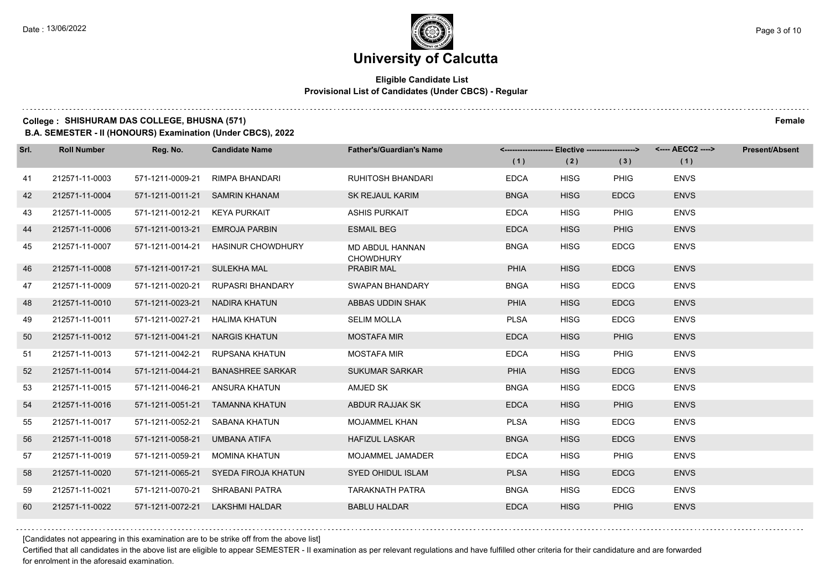## **Eligible Candidate List Provisional List of Candidates (Under CBCS) - Regular**

#### **College : SHISHURAM DAS COLLEGE, BHUSNA (571) Female**

**B.A. SEMESTER - II (HONOURS) Examination (Under CBCS), 2022**

| Srl. | <b>Roll Number</b> | Reg. No.         | <b>Candidate Name</b>    | <b>Father's/Guardian's Name</b>            |             | <-------------------- Elective ------------------> |             |             | <b>Present/Absent</b> |
|------|--------------------|------------------|--------------------------|--------------------------------------------|-------------|----------------------------------------------------|-------------|-------------|-----------------------|
|      |                    |                  |                          |                                            | (1)         | (2)                                                | (3)         | (1)         |                       |
| 41   | 212571-11-0003     | 571-1211-0009-21 | RIMPA BHANDARI           | <b>RUHITOSH BHANDARI</b>                   | <b>EDCA</b> | <b>HISG</b>                                        | <b>PHIG</b> | <b>ENVS</b> |                       |
| 42   | 212571-11-0004     | 571-1211-0011-21 | <b>SAMRIN KHANAM</b>     | <b>SK REJAUL KARIM</b>                     | <b>BNGA</b> | <b>HISG</b>                                        | <b>EDCG</b> | <b>ENVS</b> |                       |
| 43   | 212571-11-0005     | 571-1211-0012-21 | KEYA PURKAIT             | <b>ASHIS PURKAIT</b>                       | <b>EDCA</b> | <b>HISG</b>                                        | <b>PHIG</b> | <b>ENVS</b> |                       |
| 44   | 212571-11-0006     | 571-1211-0013-21 | EMROJA PARBIN            | <b>ESMAIL BEG</b>                          | <b>EDCA</b> | <b>HISG</b>                                        | <b>PHIG</b> | <b>ENVS</b> |                       |
| 45   | 212571-11-0007     | 571-1211-0014-21 | <b>HASINUR CHOWDHURY</b> | <b>MD ABDUL HANNAN</b><br><b>CHOWDHURY</b> | <b>BNGA</b> | <b>HISG</b>                                        | <b>EDCG</b> | <b>ENVS</b> |                       |
| 46   | 212571-11-0008     | 571-1211-0017-21 | <b>SULEKHA MAL</b>       | PRABIR MAL                                 | <b>PHIA</b> | <b>HISG</b>                                        | <b>EDCG</b> | <b>ENVS</b> |                       |
| 47   | 212571-11-0009     | 571-1211-0020-21 | <b>RUPASRI BHANDARY</b>  | SWAPAN BHANDARY                            | <b>BNGA</b> | <b>HISG</b>                                        | <b>EDCG</b> | <b>ENVS</b> |                       |
| 48   | 212571-11-0010     | 571-1211-0023-21 | NADIRA KHATUN            | ABBAS UDDIN SHAK                           | <b>PHIA</b> | <b>HISG</b>                                        | <b>EDCG</b> | <b>ENVS</b> |                       |
| 49   | 212571-11-0011     | 571-1211-0027-21 | HALIMA KHATUN            | <b>SELIM MOLLA</b>                         | <b>PLSA</b> | <b>HISG</b>                                        | <b>EDCG</b> | <b>ENVS</b> |                       |
| 50   | 212571-11-0012     | 571-1211-0041-21 | <b>NARGIS KHATUN</b>     | <b>MOSTAFA MIR</b>                         | <b>EDCA</b> | <b>HISG</b>                                        | <b>PHIG</b> | <b>ENVS</b> |                       |
| 51   | 212571-11-0013     | 571-1211-0042-21 | RUPSANA KHATUN           | <b>MOSTAFA MIR</b>                         | <b>EDCA</b> | <b>HISG</b>                                        | <b>PHIG</b> | <b>ENVS</b> |                       |
| 52   | 212571-11-0014     | 571-1211-0044-21 | <b>BANASHREE SARKAR</b>  | <b>SUKUMAR SARKAR</b>                      | <b>PHIA</b> | <b>HISG</b>                                        | <b>EDCG</b> | <b>ENVS</b> |                       |
| 53   | 212571-11-0015     | 571-1211-0046-21 | ANSURA KHATUN            | AMJED SK                                   | <b>BNGA</b> | <b>HISG</b>                                        | <b>EDCG</b> | <b>ENVS</b> |                       |
| 54   | 212571-11-0016     | 571-1211-0051-21 | <b>TAMANNA KHATUN</b>    | ABDUR RAJJAK SK                            | <b>EDCA</b> | <b>HISG</b>                                        | <b>PHIG</b> | <b>ENVS</b> |                       |
| 55   | 212571-11-0017     | 571-1211-0052-21 | SABANA KHATUN            | <b>MOJAMMEL KHAN</b>                       | <b>PLSA</b> | <b>HISG</b>                                        | <b>EDCG</b> | <b>ENVS</b> |                       |
| 56   | 212571-11-0018     | 571-1211-0058-21 | UMBANA ATIFA             | <b>HAFIZUL LASKAR</b>                      | <b>BNGA</b> | <b>HISG</b>                                        | <b>EDCG</b> | <b>ENVS</b> |                       |
| 57   | 212571-11-0019     | 571-1211-0059-21 | <b>MOMINA KHATUN</b>     | <b>MOJAMMEL JAMADER</b>                    | <b>EDCA</b> | <b>HISG</b>                                        | <b>PHIG</b> | <b>ENVS</b> |                       |
| 58   | 212571-11-0020     | 571-1211-0065-21 | SYEDA FIROJA KHATUN      | <b>SYED OHIDUL ISLAM</b>                   | <b>PLSA</b> | <b>HISG</b>                                        | <b>EDCG</b> | <b>ENVS</b> |                       |
| 59   | 212571-11-0021     | 571-1211-0070-21 | SHRABANI PATRA           | <b>TARAKNATH PATRA</b>                     | <b>BNGA</b> | <b>HISG</b>                                        | <b>EDCG</b> | <b>ENVS</b> |                       |
| 60   | 212571-11-0022     | 571-1211-0072-21 | <b>LAKSHMI HALDAR</b>    | <b>BABLU HALDAR</b>                        | <b>EDCA</b> | <b>HISG</b>                                        | <b>PHIG</b> | <b>ENVS</b> |                       |

[Candidates not appearing in this examination are to be strike off from the above list]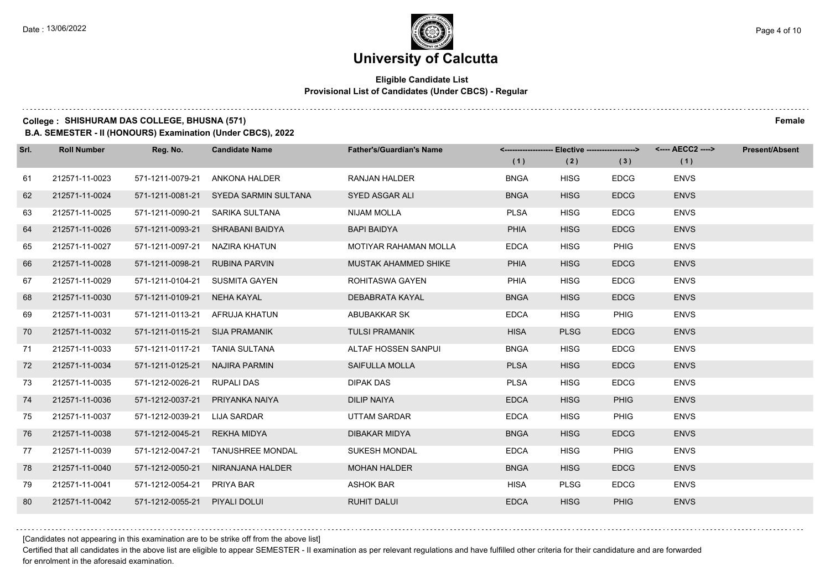## **Eligible Candidate List Provisional List of Candidates (Under CBCS) - Regular**

#### **College : SHISHURAM DAS COLLEGE, BHUSNA (571) Female**

**B.A. SEMESTER - II (HONOURS) Examination (Under CBCS), 2022**

| Srl. | <b>Roll Number</b> | Reg. No.                       | <b>Candidate Name</b>   | <b>Father's/Guardian's Name</b> |             |             |             | <-------------------- Elective -------------------> <---- AECC2 ----> | <b>Present/Absent</b> |
|------|--------------------|--------------------------------|-------------------------|---------------------------------|-------------|-------------|-------------|-----------------------------------------------------------------------|-----------------------|
|      |                    |                                |                         |                                 | (1)         | (2)         | (3)         | (1)                                                                   |                       |
| 61   | 212571-11-0023     | 571-1211-0079-21               | ANKONA HALDER           | <b>RANJAN HALDER</b>            | <b>BNGA</b> | <b>HISG</b> | <b>EDCG</b> | <b>ENVS</b>                                                           |                       |
| 62   | 212571-11-0024     | 571-1211-0081-21               | SYEDA SARMIN SULTANA    | SYED ASGAR ALI                  | <b>BNGA</b> | <b>HISG</b> | <b>EDCG</b> | <b>ENVS</b>                                                           |                       |
| 63   | 212571-11-0025     | 571-1211-0090-21               | SARIKA SULTANA          | <b>NIJAM MOLLA</b>              | <b>PLSA</b> | <b>HISG</b> | <b>EDCG</b> | <b>ENVS</b>                                                           |                       |
| 64   | 212571-11-0026     | 571-1211-0093-21               | SHRABANI BAIDYA         | <b>BAPI BAIDYA</b>              | <b>PHIA</b> | <b>HISG</b> | <b>EDCG</b> | <b>ENVS</b>                                                           |                       |
| 65   | 212571-11-0027     | 571-1211-0097-21               | NAZIRA KHATUN           | MOTIYAR RAHAMAN MOLLA           | <b>EDCA</b> | <b>HISG</b> | <b>PHIG</b> | <b>ENVS</b>                                                           |                       |
| 66   | 212571-11-0028     | 571-1211-0098-21               | <b>RUBINA PARVIN</b>    | MUSTAK AHAMMED SHIKE            | <b>PHIA</b> | <b>HISG</b> | <b>EDCG</b> | <b>ENVS</b>                                                           |                       |
| 67   | 212571-11-0029     | 571-1211-0104-21               | SUSMITA GAYEN           | ROHITASWA GAYEN                 | PHIA        | <b>HISG</b> | <b>EDCG</b> | <b>ENVS</b>                                                           |                       |
| 68   | 212571-11-0030     | 571-1211-0109-21               | NEHA KAYAL              | DEBABRATA KAYAL                 | <b>BNGA</b> | <b>HISG</b> | <b>EDCG</b> | <b>ENVS</b>                                                           |                       |
| 69   | 212571-11-0031     | 571-1211-0113-21               | AFRUJA KHATUN           | ABUBAKKAR SK                    | <b>EDCA</b> | <b>HISG</b> | PHIG        | <b>ENVS</b>                                                           |                       |
| 70   | 212571-11-0032     | 571-1211-0115-21               | <b>SIJA PRAMANIK</b>    | <b>TULSI PRAMANIK</b>           | <b>HISA</b> | <b>PLSG</b> | <b>EDCG</b> | <b>ENVS</b>                                                           |                       |
| 71   | 212571-11-0033     | 571-1211-0117-21 TANIA SULTANA |                         | ALTAF HOSSEN SANPUI             | <b>BNGA</b> | <b>HISG</b> | <b>EDCG</b> | <b>ENVS</b>                                                           |                       |
| 72   | 212571-11-0034     | 571-1211-0125-21               | NAJIRA PARMIN           | SAIFULLA MOLLA                  | <b>PLSA</b> | <b>HISG</b> | <b>EDCG</b> | <b>ENVS</b>                                                           |                       |
| 73   | 212571-11-0035     | 571-1212-0026-21               | RUPALI DAS              | <b>DIPAK DAS</b>                | <b>PLSA</b> | <b>HISG</b> | <b>EDCG</b> | <b>ENVS</b>                                                           |                       |
| 74   | 212571-11-0036     | 571-1212-0037-21               | PRIYANKA NAIYA          | <b>DILIP NAIYA</b>              | <b>EDCA</b> | <b>HISG</b> | <b>PHIG</b> | <b>ENVS</b>                                                           |                       |
| 75   | 212571-11-0037     | 571-1212-0039-21               | LIJA SARDAR             | UTTAM SARDAR                    | <b>EDCA</b> | <b>HISG</b> | PHIG        | <b>ENVS</b>                                                           |                       |
| 76   | 212571-11-0038     | 571-1212-0045-21               | REKHA MIDYA             | <b>DIBAKAR MIDYA</b>            | <b>BNGA</b> | <b>HISG</b> | <b>EDCG</b> | <b>ENVS</b>                                                           |                       |
| 77   | 212571-11-0039     | 571-1212-0047-21               | <b>TANUSHREE MONDAL</b> | <b>SUKESH MONDAL</b>            | <b>EDCA</b> | <b>HISG</b> | PHIG        | <b>ENVS</b>                                                           |                       |
| 78   | 212571-11-0040     | 571-1212-0050-21               | NIRANJANA HALDER        | <b>MOHAN HALDER</b>             | <b>BNGA</b> | <b>HISG</b> | <b>EDCG</b> | <b>ENVS</b>                                                           |                       |
| 79   | 212571-11-0041     | 571-1212-0054-21               | PRIYA BAR               | <b>ASHOK BAR</b>                | HISA        | <b>PLSG</b> | <b>EDCG</b> | <b>ENVS</b>                                                           |                       |
| 80   | 212571-11-0042     | 571-1212-0055-21               | PIYALI DOLUI            | <b>RUHIT DALUI</b>              | <b>EDCA</b> | <b>HISG</b> | <b>PHIG</b> | <b>ENVS</b>                                                           |                       |

[Candidates not appearing in this examination are to be strike off from the above list]

Certified that all candidates in the above list are eligible to appear SEMESTER - II examination as per relevant regulations and have fulfilled other criteria for their candidature and are forwarded for enrolment in the aforesaid examination.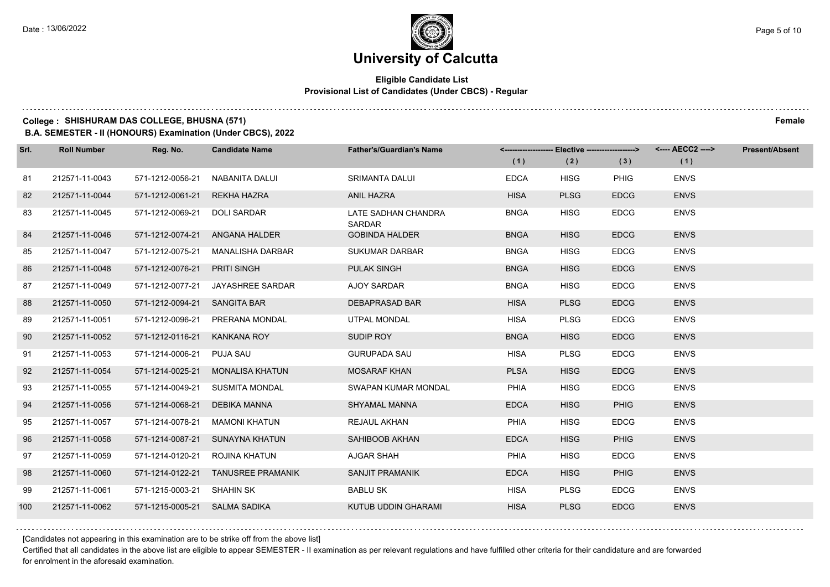### **Eligible Candidate List Provisional List of Candidates (Under CBCS) - Regular**

#### **College : SHISHURAM DAS COLLEGE, BHUSNA (571) Female**

**B.A. SEMESTER - II (HONOURS) Examination (Under CBCS), 2022**

| Srl. | <b>Roll Number</b> | Reg. No.                      | <b>Candidate Name</b>              | <b>Father's/Guardian's Name</b>      |             |             |             | <--------------------- Elective -------------------> <---- AECC2 ----> | <b>Present/Absent</b> |
|------|--------------------|-------------------------------|------------------------------------|--------------------------------------|-------------|-------------|-------------|------------------------------------------------------------------------|-----------------------|
|      |                    |                               |                                    |                                      | (1)         | (2)         | (3)         | (1)                                                                    |                       |
| 81   | 212571-11-0043     | 571-1212-0056-21              | NABANITA DALUI                     | <b>SRIMANTA DALUI</b>                | <b>EDCA</b> | <b>HISG</b> | <b>PHIG</b> | <b>ENVS</b>                                                            |                       |
| 82   | 212571-11-0044     | 571-1212-0061-21              | REKHA HAZRA                        | <b>ANIL HAZRA</b>                    | <b>HISA</b> | <b>PLSG</b> | <b>EDCG</b> | <b>ENVS</b>                                                            |                       |
| 83   | 212571-11-0045     | 571-1212-0069-21              | DOLI SARDAR                        | LATE SADHAN CHANDRA<br><b>SARDAR</b> | <b>BNGA</b> | <b>HISG</b> | <b>EDCG</b> | <b>ENVS</b>                                                            |                       |
| 84   | 212571-11-0046     |                               | 571-1212-0074-21 ANGANA HALDER     | <b>GOBINDA HALDER</b>                | <b>BNGA</b> | <b>HISG</b> | <b>EDCG</b> | <b>ENVS</b>                                                            |                       |
| 85   | 212571-11-0047     | 571-1212-0075-21              | MANALISHA DARBAR                   | <b>SUKUMAR DARBAR</b>                | <b>BNGA</b> | <b>HISG</b> | <b>EDCG</b> | <b>ENVS</b>                                                            |                       |
| 86   | 212571-11-0048     | 571-1212-0076-21              | <b>PRITI SINGH</b>                 | <b>PULAK SINGH</b>                   | <b>BNGA</b> | <b>HISG</b> | <b>EDCG</b> | <b>ENVS</b>                                                            |                       |
| 87   | 212571-11-0049     | 571-1212-0077-21              | JAYASHREE SARDAR                   | AJOY SARDAR                          | <b>BNGA</b> | <b>HISG</b> | <b>EDCG</b> | <b>ENVS</b>                                                            |                       |
| 88   | 212571-11-0050     | 571-1212-0094-21 SANGITA BAR  |                                    | <b>DEBAPRASAD BAR</b>                | <b>HISA</b> | <b>PLSG</b> | <b>EDCG</b> | <b>ENVS</b>                                                            |                       |
| 89   | 212571-11-0051     | 571-1212-0096-21              | PRERANA MONDAL                     | UTPAL MONDAL                         | HISA        | <b>PLSG</b> | <b>EDCG</b> | <b>ENVS</b>                                                            |                       |
| 90   | 212571-11-0052     | 571-1212-0116-21              | KANKANA ROY                        | SUDIP ROY                            | <b>BNGA</b> | <b>HISG</b> | <b>EDCG</b> | <b>ENVS</b>                                                            |                       |
| 91   | 212571-11-0053     | 571-1214-0006-21              | PUJA SAU                           | <b>GURUPADA SAU</b>                  | <b>HISA</b> | <b>PLSG</b> | <b>EDCG</b> | <b>ENVS</b>                                                            |                       |
| 92   | 212571-11-0054     | 571-1214-0025-21              | <b>MONALISA KHATUN</b>             | <b>MOSARAF KHAN</b>                  | <b>PLSA</b> | <b>HISG</b> | <b>EDCG</b> | <b>ENVS</b>                                                            |                       |
| 93   | 212571-11-0055     |                               | 571-1214-0049-21 SUSMITA MONDAL    | SWAPAN KUMAR MONDAL                  | PHIA        | <b>HISG</b> | <b>EDCG</b> | <b>ENVS</b>                                                            |                       |
| 94   | 212571-11-0056     | 571-1214-0068-21              | DEBIKA MANNA                       | SHYAMAL MANNA                        | <b>EDCA</b> | <b>HISG</b> | <b>PHIG</b> | <b>ENVS</b>                                                            |                       |
| 95   | 212571-11-0057     | 571-1214-0078-21              | <b>MAMONI KHATUN</b>               | <b>REJAUL AKHAN</b>                  | PHIA        | <b>HISG</b> | <b>EDCG</b> | <b>ENVS</b>                                                            |                       |
| 96   | 212571-11-0058     | 571-1214-0087-21              | SUNAYNA KHATUN                     | SAHIBOOB AKHAN                       | <b>EDCA</b> | <b>HISG</b> | <b>PHIG</b> | <b>ENVS</b>                                                            |                       |
| 97   | 212571-11-0059     | 571-1214-0120-21              | ROJINA KHATUN                      | AJGAR SHAH                           | PHIA        | <b>HISG</b> | <b>EDCG</b> | <b>ENVS</b>                                                            |                       |
| 98   | 212571-11-0060     |                               | 571-1214-0122-21 TANUSREE PRAMANIK | <b>SANJIT PRAMANIK</b>               | <b>EDCA</b> | <b>HISG</b> | <b>PHIG</b> | <b>ENVS</b>                                                            |                       |
| 99   | 212571-11-0061     | 571-1215-0003-21 SHAHIN SK    |                                    | <b>BABLU SK</b>                      | HISA        | <b>PLSG</b> | <b>EDCG</b> | <b>ENVS</b>                                                            |                       |
| 100  | 212571-11-0062     | 571-1215-0005-21 SALMA SADIKA |                                    | KUTUB UDDIN GHARAMI                  | <b>HISA</b> | <b>PLSG</b> | <b>EDCG</b> | <b>ENVS</b>                                                            |                       |

[Candidates not appearing in this examination are to be strike off from the above list]

Certified that all candidates in the above list are eligible to appear SEMESTER - II examination as per relevant regulations and have fulfilled other criteria for their candidature and are forwarded for enrolment in the aforesaid examination.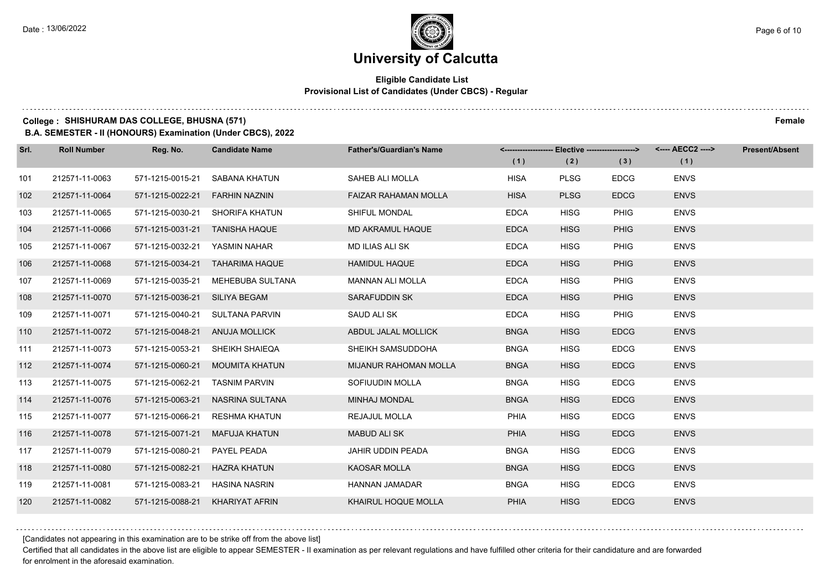## **Eligible Candidate List Provisional List of Candidates (Under CBCS) - Regular**

#### **College : SHISHURAM DAS COLLEGE, BHUSNA (571) Female**

**B.A. SEMESTER - II (HONOURS) Examination (Under CBCS), 2022**

| Srl. | <b>Roll Number</b> | Reg. No.                        | <b>Candidate Name</b>           | <b>Father's/Guardian's Name</b> | <------------------- Elective ------------------><br>(1) | (2)         | (3)         | (1)         | <b>Present/Absent</b> |
|------|--------------------|---------------------------------|---------------------------------|---------------------------------|----------------------------------------------------------|-------------|-------------|-------------|-----------------------|
| 101  | 212571-11-0063     | 571-1215-0015-21                | SABANA KHATUN                   | SAHEB ALI MOLLA                 | <b>HISA</b>                                              | <b>PLSG</b> | <b>EDCG</b> | <b>ENVS</b> |                       |
| 102  | 212571-11-0064     | 571-1215-0022-21                | <b>FARHIN NAZNIN</b>            | <b>FAIZAR RAHAMAN MOLLA</b>     | <b>HISA</b>                                              | <b>PLSG</b> | <b>EDCG</b> | <b>ENVS</b> |                       |
| 103  | 212571-11-0065     |                                 | 571-1215-0030-21 SHORIFA KHATUN | SHIFUL MONDAL                   | <b>EDCA</b>                                              | <b>HISG</b> | <b>PHIG</b> | <b>ENVS</b> |                       |
| 104  | 212571-11-0066     | 571-1215-0031-21 TANISHA HAQUE  |                                 | MD AKRAMUL HAQUE                | <b>EDCA</b>                                              | <b>HISG</b> | <b>PHIG</b> | <b>ENVS</b> |                       |
| 105  | 212571-11-0067     | 571-1215-0032-21                | YASMIN NAHAR                    | <b>MD ILIAS ALI SK</b>          | <b>EDCA</b>                                              | <b>HISG</b> | <b>PHIG</b> | <b>ENVS</b> |                       |
| 106  | 212571-11-0068     | 571-1215-0034-21                | <b>TAHARIMA HAQUE</b>           | <b>HAMIDUL HAQUE</b>            | <b>EDCA</b>                                              | <b>HISG</b> | <b>PHIG</b> | <b>ENVS</b> |                       |
| 107  | 212571-11-0069     | 571-1215-0035-21                | MEHEBUBA SULTANA                | <b>MANNAN ALI MOLLA</b>         | <b>EDCA</b>                                              | <b>HISG</b> | <b>PHIG</b> | <b>ENVS</b> |                       |
| 108  | 212571-11-0070     | 571-1215-0036-21 SILIYA BEGAM   |                                 | SARAFUDDIN SK                   | <b>EDCA</b>                                              | <b>HISG</b> | <b>PHIG</b> | <b>ENVS</b> |                       |
| 109  | 212571-11-0071     | 571-1215-0040-21                | SULTANA PARVIN                  | SAUD ALI SK                     | <b>EDCA</b>                                              | <b>HISG</b> | <b>PHIG</b> | <b>ENVS</b> |                       |
| 110  | 212571-11-0072     | 571-1215-0048-21                | <b>ANUJA MOLLICK</b>            | ABDUL JALAL MOLLICK             | <b>BNGA</b>                                              | <b>HISG</b> | <b>EDCG</b> | <b>ENVS</b> |                       |
| 111  | 212571-11-0073     |                                 | 571-1215-0053-21 SHEIKH SHAIEQA | SHEIKH SAMSUDDOHA               | <b>BNGA</b>                                              | <b>HISG</b> | <b>EDCG</b> | <b>ENVS</b> |                       |
| 112  | 212571-11-0074     |                                 | 571-1215-0060-21 MOUMITA KHATUN | MIJANUR RAHOMAN MOLLA           | <b>BNGA</b>                                              | <b>HISG</b> | <b>EDCG</b> | <b>ENVS</b> |                       |
| 113  | 212571-11-0075     | 571-1215-0062-21                | <b>TASNIM PARVIN</b>            | SOFIUUDIN MOLLA                 | <b>BNGA</b>                                              | <b>HISG</b> | <b>EDCG</b> | <b>ENVS</b> |                       |
| 114  | 212571-11-0076     | 571-1215-0063-21                | NASRINA SULTANA                 | <b>MINHAJ MONDAL</b>            | <b>BNGA</b>                                              | <b>HISG</b> | <b>EDCG</b> | <b>ENVS</b> |                       |
| 115  | 212571-11-0077     | 571-1215-0066-21                | RESHMA KHATUN                   | REJAJUL MOLLA                   | PHIA                                                     | <b>HISG</b> | <b>EDCG</b> | <b>ENVS</b> |                       |
| 116  | 212571-11-0078     | 571-1215-0071-21                | MAFUJA KHATUN                   | MABUD ALI SK                    | <b>PHIA</b>                                              | <b>HISG</b> | <b>EDCG</b> | <b>ENVS</b> |                       |
| 117  | 212571-11-0079     | 571-1215-0080-21                | PAYEL PEADA                     | JAHIR UDDIN PEADA               | <b>BNGA</b>                                              | HISG        | <b>EDCG</b> | <b>ENVS</b> |                       |
| 118  | 212571-11-0080     | 571-1215-0082-21                | <b>HAZRA KHATUN</b>             | <b>KAOSAR MOLLA</b>             | <b>BNGA</b>                                              | <b>HISG</b> | <b>EDCG</b> | <b>ENVS</b> |                       |
| 119  | 212571-11-0081     | 571-1215-0083-21                | HASINA NASRIN                   | HANNAN JAMADAR                  | <b>BNGA</b>                                              | <b>HISG</b> | <b>EDCG</b> | <b>ENVS</b> |                       |
| 120  | 212571-11-0082     | 571-1215-0088-21 KHARIYAT AFRIN |                                 | KHAIRUL HOQUE MOLLA             | <b>PHIA</b>                                              | <b>HISG</b> | <b>EDCG</b> | <b>ENVS</b> |                       |

[Candidates not appearing in this examination are to be strike off from the above list]

Certified that all candidates in the above list are eligible to appear SEMESTER - II examination as per relevant regulations and have fulfilled other criteria for their candidature and are forwarded for enrolment in the aforesaid examination.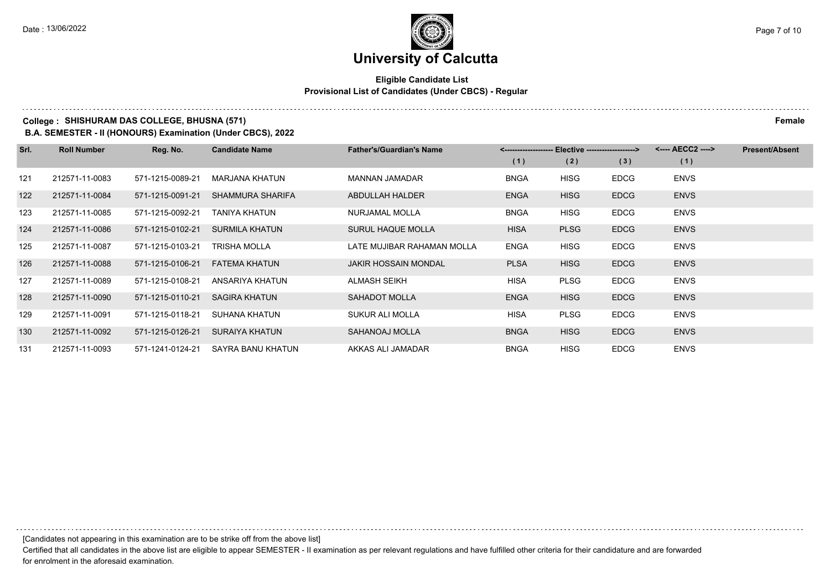## **Eligible Candidate List Provisional List of Candidates (Under CBCS) - Regular**

## **College : SHISHURAM DAS COLLEGE, BHUSNA (571) Female**

**B.A. SEMESTER - II (HONOURS) Examination (Under CBCS), 2022**

| Srl. | <b>Roll Number</b> | Reg. No.         | <b>Candidate Name</b> | <b>Father's/Guardian's Name</b> |             | <-------------------- Elective -------------------> |             | <---- AECC2 ----> | <b>Present/Absent</b> |
|------|--------------------|------------------|-----------------------|---------------------------------|-------------|-----------------------------------------------------|-------------|-------------------|-----------------------|
|      |                    |                  |                       |                                 | (1)         | (2)                                                 | (3)         | (1)               |                       |
| 121  | 212571-11-0083     | 571-1215-0089-21 | MARJANA KHATUN        | <b>MANNAN JAMADAR</b>           | <b>BNGA</b> | HISG                                                | <b>EDCG</b> | <b>ENVS</b>       |                       |
| 122  | 212571-11-0084     | 571-1215-0091-21 | SHAMMURA SHARIFA      | ABDULLAH HALDER                 | <b>ENGA</b> | <b>HISG</b>                                         | <b>EDCG</b> | <b>ENVS</b>       |                       |
| 123  | 212571-11-0085     | 571-1215-0092-21 | TANIYA KHATUN         | NURJAMAL MOLLA                  | <b>BNGA</b> | <b>HISG</b>                                         | <b>EDCG</b> | <b>ENVS</b>       |                       |
| 124  | 212571-11-0086     | 571-1215-0102-21 | <b>SURMILA KHATUN</b> | <b>SURUL HAQUE MOLLA</b>        | <b>HISA</b> | <b>PLSG</b>                                         | <b>EDCG</b> | <b>ENVS</b>       |                       |
| 125  | 212571-11-0087     | 571-1215-0103-21 | TRISHA MOLLA          | LATE MUJIBAR RAHAMAN MOLLA      | <b>ENGA</b> | <b>HISG</b>                                         | <b>EDCG</b> | <b>ENVS</b>       |                       |
| 126  | 212571-11-0088     | 571-1215-0106-21 | FATEMA KHATUN         | <b>JAKIR HOSSAIN MONDAL</b>     | <b>PLSA</b> | <b>HISG</b>                                         | <b>EDCG</b> | <b>ENVS</b>       |                       |
| 127  | 212571-11-0089     | 571-1215-0108-21 | ANSARIYA KHATUN       | ALMASH SEIKH                    | <b>HISA</b> | <b>PLSG</b>                                         | <b>EDCG</b> | <b>ENVS</b>       |                       |
| 128  | 212571-11-0090     | 571-1215-0110-21 | <b>SAGIRA KHATUN</b>  | <b>SAHADOT MOLLA</b>            | <b>ENGA</b> | <b>HISG</b>                                         | <b>EDCG</b> | <b>ENVS</b>       |                       |
| 129  | 212571-11-0091     | 571-1215-0118-21 | SUHANA KHATUN         | SUKUR ALI MOLLA                 | <b>HISA</b> | <b>PLSG</b>                                         | <b>EDCG</b> | <b>ENVS</b>       |                       |
| 130  | 212571-11-0092     | 571-1215-0126-21 | SURAIYA KHATUN        | SAHANOAJ MOLLA                  | <b>BNGA</b> | <b>HISG</b>                                         | <b>EDCG</b> | <b>ENVS</b>       |                       |
| 131  | 212571-11-0093     | 571-1241-0124-21 | SAYRA BANU KHATUN     | AKKAS ALI JAMADAR               | <b>BNGA</b> | <b>HISG</b>                                         | <b>EDCG</b> | <b>ENVS</b>       |                       |

[Candidates not appearing in this examination are to be strike off from the above list]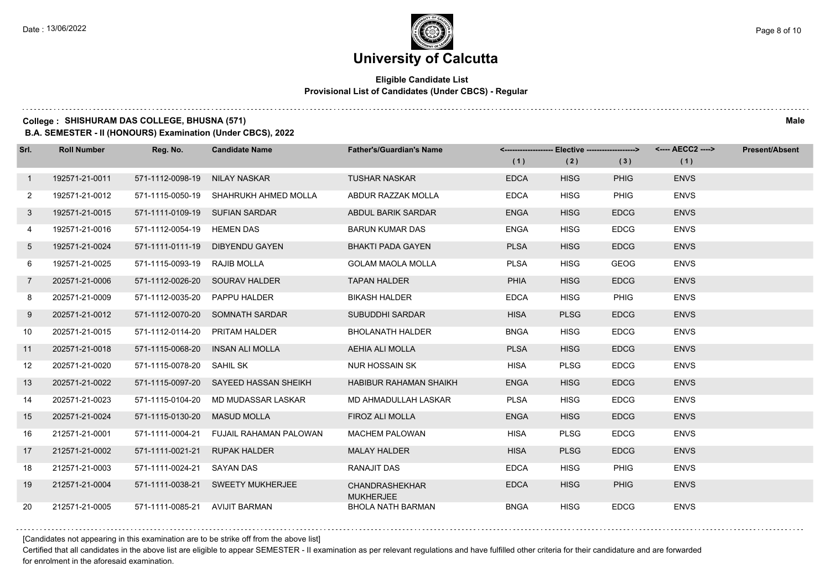## **Eligible Candidate List Provisional List of Candidates (Under CBCS) - Regular**

#### **College : SHISHURAM DAS COLLEGE, BHUSNA (571) Male**

**B.A. SEMESTER - II (HONOURS) Examination (Under CBCS), 2022**

| Srl.            | <b>Roll Number</b> | Reg. No.                       | <b>Candidate Name</b>                 | <b>Father's/Guardian's Name</b>           |             | <-------------------- Elective -------------------> |             | <---- AECC2 ----> | <b>Present/Absent</b> |
|-----------------|--------------------|--------------------------------|---------------------------------------|-------------------------------------------|-------------|-----------------------------------------------------|-------------|-------------------|-----------------------|
|                 |                    |                                |                                       |                                           | (1)         | (2)                                                 | (3)         | (1)               |                       |
| $\mathbf{1}$    | 192571-21-0011     | 571-1112-0098-19               | NILAY NASKAR                          | <b>TUSHAR NASKAR</b>                      | <b>EDCA</b> | <b>HISG</b>                                         | <b>PHIG</b> | <b>ENVS</b>       |                       |
| $\overline{2}$  | 192571-21-0012     |                                | 571-1115-0050-19 SHAHRUKH AHMED MOLLA | ABDUR RAZZAK MOLLA                        | <b>EDCA</b> | <b>HISG</b>                                         | PHIG        | <b>ENVS</b>       |                       |
| 3               | 192571-21-0015     | 571-1111-0109-19 SUFIAN SARDAR |                                       | ABDUL BARIK SARDAR                        | <b>ENGA</b> | <b>HISG</b>                                         | <b>EDCG</b> | <b>ENVS</b>       |                       |
| 4               | 192571-21-0016     | 571-1112-0054-19 HEMEN DAS     |                                       | <b>BARUN KUMAR DAS</b>                    | <b>ENGA</b> | <b>HISG</b>                                         | <b>EDCG</b> | <b>ENVS</b>       |                       |
| 5 <sup>5</sup>  | 192571-21-0024     | 571-1111-0111-19               | <b>DIBYENDU GAYEN</b>                 | <b>BHAKTI PADA GAYEN</b>                  | <b>PLSA</b> | <b>HISG</b>                                         | <b>EDCG</b> | <b>ENVS</b>       |                       |
| 6               | 192571-21-0025     | 571-1115-0093-19               | RAJIB MOLLA                           | <b>GOLAM MAOLA MOLLA</b>                  | <b>PLSA</b> | <b>HISG</b>                                         | <b>GEOG</b> | <b>ENVS</b>       |                       |
| $\overline{7}$  | 202571-21-0006     |                                | 571-1112-0026-20 SOURAV HALDER        | <b>TAPAN HALDER</b>                       | <b>PHIA</b> | <b>HISG</b>                                         | <b>EDCG</b> | <b>ENVS</b>       |                       |
| 8               | 202571-21-0009     | 571-1112-0035-20               | PAPPU HALDER                          | <b>BIKASH HALDER</b>                      | <b>EDCA</b> | <b>HISG</b>                                         | PHIG        | <b>ENVS</b>       |                       |
| 9               | 202571-21-0012     | 571-1112-0070-20               | SOMNATH SARDAR                        | <b>SUBUDDHI SARDAR</b>                    | <b>HISA</b> | <b>PLSG</b>                                         | <b>EDCG</b> | <b>ENVS</b>       |                       |
| 10 <sup>°</sup> | 202571-21-0015     | 571-1112-0114-20               | PRITAM HALDER                         | <b>BHOLANATH HALDER</b>                   | <b>BNGA</b> | <b>HISG</b>                                         | <b>EDCG</b> | <b>ENVS</b>       |                       |
| 11              | 202571-21-0018     | 571-1115-0068-20               | INSAN ALI MOLLA                       | AEHIA ALI MOLLA                           | <b>PLSA</b> | <b>HISG</b>                                         | <b>EDCG</b> | <b>ENVS</b>       |                       |
| 12              | 202571-21-0020     | 571-1115-0078-20 SAHIL SK      |                                       | <b>NUR HOSSAIN SK</b>                     | <b>HISA</b> | <b>PLSG</b>                                         | <b>EDCG</b> | <b>ENVS</b>       |                       |
| 13              | 202571-21-0022     | 571-1115-0097-20               | SAYEED HASSAN SHEIKH                  | <b>HABIBUR RAHAMAN SHAIKH</b>             | <b>ENGA</b> | <b>HISG</b>                                         | <b>EDCG</b> | <b>ENVS</b>       |                       |
| 14              | 202571-21-0023     | 571-1115-0104-20               | MD MUDASSAR LASKAR                    | MD AHMADULLAH LASKAR                      | <b>PLSA</b> | <b>HISG</b>                                         | <b>EDCG</b> | <b>ENVS</b>       |                       |
| 15              | 202571-21-0024     | 571-1115-0130-20               | <b>MASUD MOLLA</b>                    | FIROZ ALI MOLLA                           | <b>ENGA</b> | <b>HISG</b>                                         | <b>EDCG</b> | <b>ENVS</b>       |                       |
| 16              | 212571-21-0001     | 571-1111-0004-21               | <b>FUJAIL RAHAMAN PALOWAN</b>         | <b>MACHEM PALOWAN</b>                     | <b>HISA</b> | <b>PLSG</b>                                         | <b>EDCG</b> | <b>ENVS</b>       |                       |
| 17              | 212571-21-0002     | 571-1111-0021-21               | <b>RUPAK HALDER</b>                   | <b>MALAY HALDER</b>                       | <b>HISA</b> | <b>PLSG</b>                                         | <b>EDCG</b> | <b>ENVS</b>       |                       |
| 18              | 212571-21-0003     | 571-1111-0024-21               | SAYAN DAS                             | RANAJIT DAS                               | <b>EDCA</b> | <b>HISG</b>                                         | PHIG        | <b>ENVS</b>       |                       |
| 19              | 212571-21-0004     |                                | 571-1111-0038-21 SWEETY MUKHERJEE     | <b>CHANDRASHEKHAR</b><br><b>MUKHERJEE</b> | <b>EDCA</b> | <b>HISG</b>                                         | <b>PHIG</b> | <b>ENVS</b>       |                       |
| 20              | 212571-21-0005     | 571-1111-0085-21 AVIJIT BARMAN |                                       | <b>BHOLA NATH BARMAN</b>                  | <b>BNGA</b> | <b>HISG</b>                                         | <b>EDCG</b> | <b>ENVS</b>       |                       |

[Candidates not appearing in this examination are to be strike off from the above list]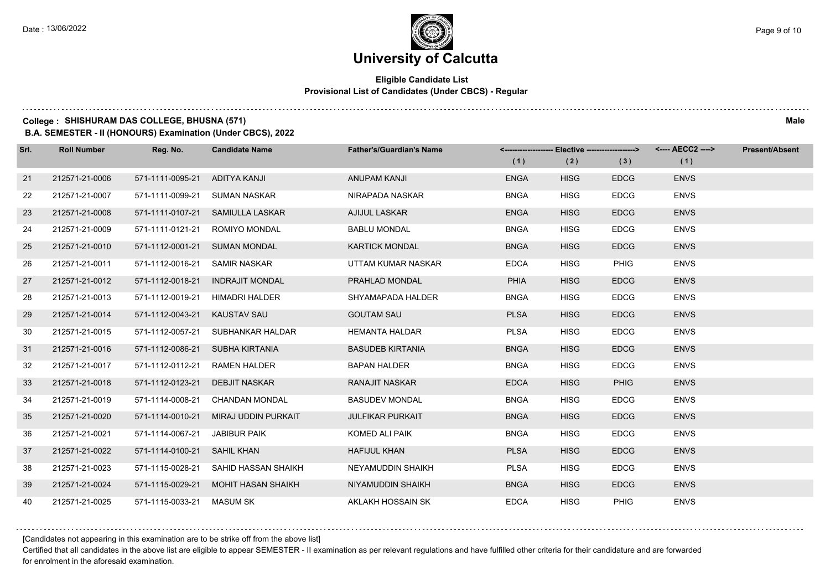## **Eligible Candidate List Provisional List of Candidates (Under CBCS) - Regular**

#### **College : SHISHURAM DAS COLLEGE, BHUSNA (571) Male**

**B.A. SEMESTER - II (HONOURS) Examination (Under CBCS), 2022**

| Srl. | <b>Roll Number</b> | Reg. No.                    | <b>Candidate Name</b>            | <b>Father's/Guardian's Name</b> | (1)         | <-------------------- Elective ------------------><br>(2) | (3)         | <---- AECC2 ----><br>(1) | <b>Present/Absent</b> |
|------|--------------------|-----------------------------|----------------------------------|---------------------------------|-------------|-----------------------------------------------------------|-------------|--------------------------|-----------------------|
| 21   | 212571-21-0006     | 571-1111-0095-21            | ADITYA KANJI                     | ANUPAM KANJI                    | <b>ENGA</b> | <b>HISG</b>                                               | <b>EDCG</b> | <b>ENVS</b>              |                       |
| 22   | 212571-21-0007     | 571-1111-0099-21            | SUMAN NASKAR                     | NIRAPADA NASKAR                 | <b>BNGA</b> | <b>HISG</b>                                               | <b>EDCG</b> | <b>ENVS</b>              |                       |
|      |                    |                             |                                  |                                 |             |                                                           |             |                          |                       |
| 23   | 212571-21-0008     |                             | 571-1111-0107-21 SAMIULLA LASKAR | <b>AJIJUL LASKAR</b>            | <b>ENGA</b> | <b>HISG</b>                                               | <b>EDCG</b> | <b>ENVS</b>              |                       |
| 24   | 212571-21-0009     | 571-1111-0121-21            | <b>ROMIYO MONDAL</b>             | <b>BABLU MONDAL</b>             | <b>BNGA</b> | <b>HISG</b>                                               | <b>EDCG</b> | <b>ENVS</b>              |                       |
| 25   | 212571-21-0010     | 571-1112-0001-21            | <b>SUMAN MONDAL</b>              | <b>KARTICK MONDAL</b>           | <b>BNGA</b> | <b>HISG</b>                                               | <b>EDCG</b> | <b>ENVS</b>              |                       |
| 26   | 212571-21-0011     | 571-1112-0016-21            | SAMIR NASKAR                     | UTTAM KUMAR NASKAR              | <b>EDCA</b> | <b>HISG</b>                                               | <b>PHIG</b> | <b>ENVS</b>              |                       |
| 27   | 212571-21-0012     | 571-1112-0018-21            | <b>INDRAJIT MONDAL</b>           | PRAHLAD MONDAL                  | <b>PHIA</b> | <b>HISG</b>                                               | <b>EDCG</b> | <b>ENVS</b>              |                       |
| 28   | 212571-21-0013     | 571-1112-0019-21            | <b>HIMADRI HALDER</b>            | SHYAMAPADA HALDER               | <b>BNGA</b> | <b>HISG</b>                                               | <b>EDCG</b> | <b>ENVS</b>              |                       |
| 29   | 212571-21-0014     | 571-1112-0043-21            | <b>KAUSTAV SAU</b>               | <b>GOUTAM SAU</b>               | <b>PLSA</b> | <b>HISG</b>                                               | <b>EDCG</b> | <b>ENVS</b>              |                       |
| 30   | 212571-21-0015     | 571-1112-0057-21            | SUBHANKAR HALDAR                 | <b>HEMANTA HALDAR</b>           | <b>PLSA</b> | <b>HISG</b>                                               | <b>EDCG</b> | <b>ENVS</b>              |                       |
| 31   | 212571-21-0016     | 571-1112-0086-21            | SUBHA KIRTANIA                   | <b>BASUDEB KIRTANIA</b>         | <b>BNGA</b> | <b>HISG</b>                                               | <b>EDCG</b> | <b>ENVS</b>              |                       |
| 32   | 212571-21-0017     | 571-1112-0112-21            | <b>RAMEN HALDER</b>              | <b>BAPAN HALDER</b>             | <b>BNGA</b> | <b>HISG</b>                                               | <b>EDCG</b> | <b>ENVS</b>              |                       |
| 33   | 212571-21-0018     | 571-1112-0123-21            | <b>DEBJIT NASKAR</b>             | RANAJIT NASKAR                  | <b>EDCA</b> | <b>HISG</b>                                               | <b>PHIG</b> | <b>ENVS</b>              |                       |
| 34   | 212571-21-0019     | 571-1114-0008-21            | <b>CHANDAN MONDAL</b>            | <b>BASUDEV MONDAL</b>           | <b>BNGA</b> | <b>HISG</b>                                               | <b>EDCG</b> | <b>ENVS</b>              |                       |
| 35   | 212571-21-0020     | 571-1114-0010-21            | MIRAJ UDDIN PURKAIT              | <b>JULFIKAR PURKAIT</b>         | <b>BNGA</b> | <b>HISG</b>                                               | <b>EDCG</b> | <b>ENVS</b>              |                       |
| 36   | 212571-21-0021     | 571-1114-0067-21            | JABIBUR PAIK                     | KOMED ALI PAIK                  | <b>BNGA</b> | <b>HISG</b>                                               | <b>EDCG</b> | <b>ENVS</b>              |                       |
| 37   | 212571-21-0022     | 571-1114-0100-21 SAHIL KHAN |                                  | <b>HAFIJUL KHAN</b>             | <b>PLSA</b> | <b>HISG</b>                                               | <b>EDCG</b> | <b>ENVS</b>              |                       |
| 38   | 212571-21-0023     | 571-1115-0028-21            | SAHID HASSAN SHAIKH              | NEYAMUDDIN SHAIKH               | <b>PLSA</b> | <b>HISG</b>                                               | <b>EDCG</b> | <b>ENVS</b>              |                       |
| 39   | 212571-21-0024     | 571-1115-0029-21            | <b>MOHIT HASAN SHAIKH</b>        | NIYAMUDDIN SHAIKH               | <b>BNGA</b> | <b>HISG</b>                                               | <b>EDCG</b> | <b>ENVS</b>              |                       |
| 40   | 212571-21-0025     | 571-1115-0033-21            | MASUM SK                         | AKLAKH HOSSAIN SK               | <b>EDCA</b> | <b>HISG</b>                                               | PHIG        | <b>ENVS</b>              |                       |

[Candidates not appearing in this examination are to be strike off from the above list]